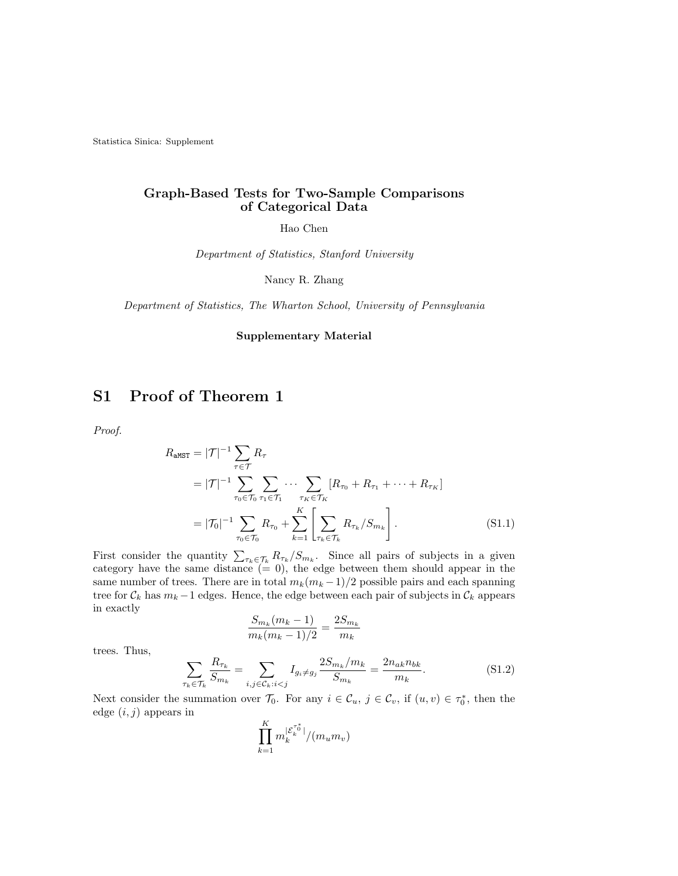Statistica Sinica: Supplement

#### Graph-Based Tests for Two-Sample Comparisons of Categorical Data

Hao Chen

Department of Statistics, Stanford University

Nancy R. Zhang

Department of Statistics, The Wharton School, University of Pennsylvania

Supplementary Material

### S1 Proof of Theorem 1

Proof.

$$
R_{\text{aMST}} = |\mathcal{T}|^{-1} \sum_{\tau \in \mathcal{T}} R_{\tau}
$$
  
=  $|\mathcal{T}|^{-1} \sum_{\tau_0 \in \mathcal{T}_0} \sum_{\tau_1 \in \mathcal{T}_1} \cdots \sum_{\tau_K \in \mathcal{T}_K} [R_{\tau_0} + R_{\tau_1} + \cdots + R_{\tau_K}]$   
=  $|\mathcal{T}_0|^{-1} \sum_{\tau_0 \in \mathcal{T}_0} R_{\tau_0} + \sum_{k=1}^K \left[ \sum_{\tau_k \in \mathcal{T}_k} R_{\tau_k} / S_{m_k} \right].$  (S1.1)

First consider the quantity  $\sum_{\tau_k \in \mathcal{T}_k} R_{\tau_k}/S_{m_k}$ . Since all pairs of subjects in a given category have the same distance  $(= 0)$ , the edge between them should appear in the same number of trees. There are in total  $m_k(m_k-1)/2$  possible pairs and each spanning tree for  $C_k$  has  $m_k - 1$  edges. Hence, the edge between each pair of subjects in  $C_k$  appears in exactly

$$
\frac{S_{m_k}(m_k - 1)}{m_k(m_k - 1)/2} = \frac{2S_{m_k}}{m_k}
$$

trees. Thus,

$$
\sum_{\tau_k \in \mathcal{T}_k} \frac{R_{\tau_k}}{S_{m_k}} = \sum_{i,j \in \mathcal{C}_k : i < j} I_{g_i \neq g_j} \frac{2S_{m_k}/m_k}{S_{m_k}} = \frac{2n_{ak}n_{bk}}{m_k}.
$$
\n(S1.2)

Next consider the summation over  $\mathcal{T}_0$ . For any  $i \in \mathcal{C}_u$ ,  $j \in \mathcal{C}_v$ , if  $(u, v) \in \tau_0^*$ , then the edge  $(i, j)$  appears in

$$
\prod_{k=1}^K m_k^{|\mathcal{E}_k^{\tau_0^*}|}/(m_u m_v)
$$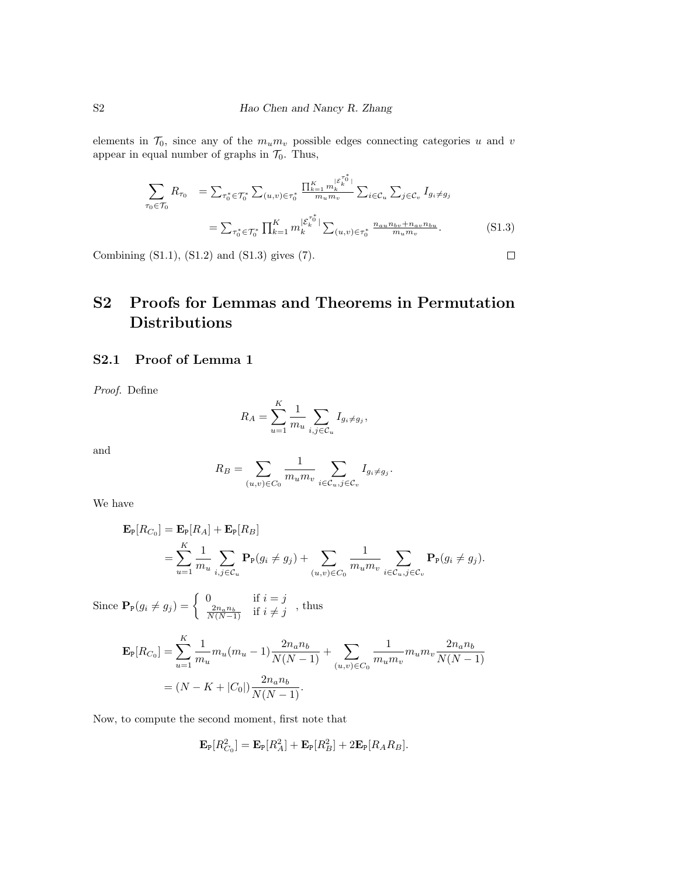elements in  $\mathcal{T}_0$ , since any of the  $m_u m_v$  possible edges connecting categories u and v appear in equal number of graphs in  $\mathcal{T}_0$ . Thus,

$$
\sum_{\tau_0 \in \mathcal{T}_0} R_{\tau_0} = \sum_{\tau_0^* \in \mathcal{T}_0^*} \sum_{(u,v) \in \tau_0^*} \frac{\prod_{k=1}^K m_k^{|\varepsilon_k^{\tau_0^*}|}}{m_u m_v} \sum_{i \in \mathcal{C}_u} \sum_{j \in \mathcal{C}_v} I_{g_i \neq g_j}
$$
\n
$$
= \sum_{\tau_0^* \in \mathcal{T}_0^*} \prod_{k=1}^K m_k^{|\varepsilon_k^{\tau_0^*}|} \sum_{(u,v) \in \tau_0^*} \frac{n_{au} n_{bv} + n_{av} n_{bu}}{m_u m_v}.
$$
\n(S1.3)

 $\Box$ 

Combining (S1.1), (S1.2) and (S1.3) gives (7).

## S2 Proofs for Lemmas and Theorems in Permutation Distributions

#### S2.1 Proof of Lemma 1

Proof. Define

$$
R_A = \sum_{u=1}^K \frac{1}{m_u} \sum_{i,j \in \mathcal{C}_u} I_{g_i \neq g_j},
$$

and

$$
R_B = \sum_{(u,v) \in C_0} \frac{1}{m_u m_v} \sum_{i \in \mathcal{C}_u, j \in \mathcal{C}_v} I_{g_i \neq g_j}.
$$

We have

$$
\mathbf{E}_{\mathbf{P}}[R_{C_0}] = \mathbf{E}_{\mathbf{P}}[R_A] + \mathbf{E}_{\mathbf{P}}[R_B]
$$
  
=  $\sum_{u=1}^K \frac{1}{m_u} \sum_{i,j \in C_u} \mathbf{P}_{\mathbf{P}}(g_i \neq g_j) + \sum_{(u,v) \in C_0} \frac{1}{m_u m_v} \sum_{i \in C_u, j \in C_v} \mathbf{P}_{\mathbf{P}}(g_i \neq g_j).$ 

Since  $\mathbf{P}_{\mathbf{P}}(g_i \neq g_j) = \begin{cases} 0 & \text{if } i = j \\ \frac{2n_a n_b}{\mathbf{I}} & \text{if } i \neq j \end{cases}$  $\frac{2n_a n_b}{N(N-1)}$  if  $i \neq j$ , thus

$$
\mathbf{E}_{\mathbf{P}}[R_{C_0}] = \sum_{u=1}^{K} \frac{1}{m_u} m_u (m_u - 1) \frac{2n_a n_b}{N(N-1)} + \sum_{(u,v) \in C_0} \frac{1}{m_u m_v} m_u m_v \frac{2n_a n_b}{N(N-1)}
$$
  
=  $(N - K + |C_0|) \frac{2n_a n_b}{N(N-1)}$ .

Now, to compute the second moment, first note that

$$
\mathbf{E}_{\mathsf{P}}[R_{C_0}^2] = \mathbf{E}_{\mathsf{P}}[R_A^2] + \mathbf{E}_{\mathsf{P}}[R_B^2] + 2\mathbf{E}_{\mathsf{P}}[R_A R_B].
$$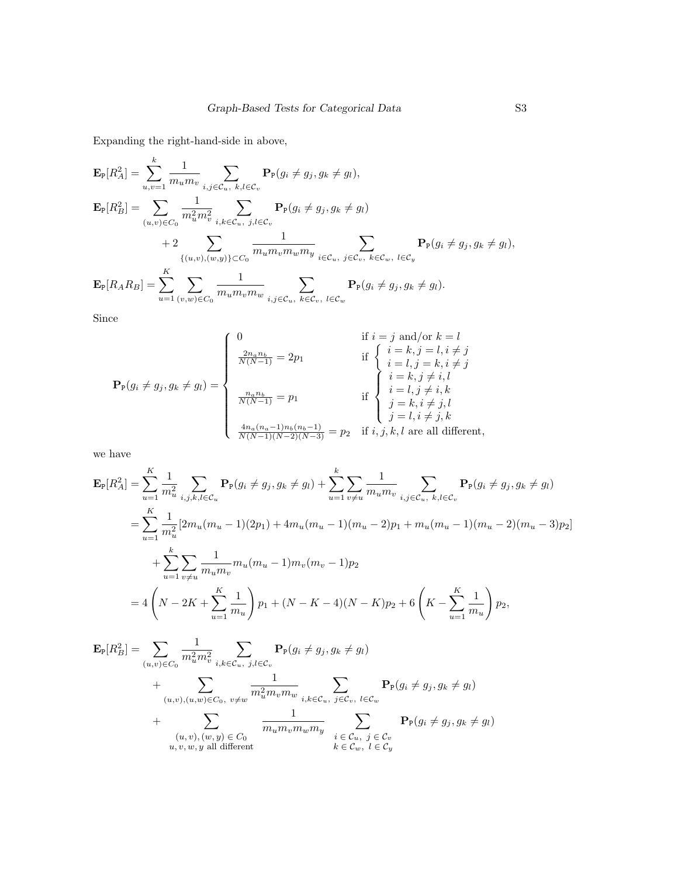Expanding the right-hand-side in above,

$$
\mathbf{E}_{\mathbf{P}}[R_A^2] = \sum_{u,v=1}^k \frac{1}{m_u m_v} \sum_{i,j \in \mathcal{C}_u, k,l \in \mathcal{C}_v} \mathbf{P}_{\mathbf{P}}(g_i \neq g_j, g_k \neq g_l),
$$
  
\n
$$
\mathbf{E}_{\mathbf{P}}[R_B^2] = \sum_{(u,v) \in C_0} \frac{1}{m_u^2 m_v^2} \sum_{i,k \in \mathcal{C}_u, j,l \in \mathcal{C}_v} \mathbf{P}_{\mathbf{P}}(g_i \neq g_j, g_k \neq g_l)
$$
  
\n
$$
+ 2 \sum_{\{(u,v),(w,y)\} \subset C_0} \frac{1}{m_u m_v m_w m_y} \sum_{i \in \mathcal{C}_u, j \in \mathcal{C}_v, k \in \mathcal{C}_w, l \in \mathcal{C}_y} \mathbf{P}_{\mathbf{P}}(g_i \neq g_j, g_k \neq g_l),
$$
  
\n
$$
\mathbf{E}_{\mathbf{P}}[R_A R_B] = \sum_{u=1}^K \sum_{(v,w) \in C_0} \frac{1}{m_u m_v m_w} \sum_{i,j \in \mathcal{C}_u, k \in \mathcal{C}_v, l \in \mathcal{C}_w} \mathbf{P}_{\mathbf{P}}(g_i \neq g_j, g_k \neq g_l).
$$

Since

$$
\mathbf{P}_{\mathbf{P}}(g_{i} \neq g_{j}, g_{k} \neq g_{l}) = \begin{cases}\n0 & \text{if } i = j \text{ and/or } k = l \\
\frac{2n_{a}n_{b}}{N(N-1)} = 2p_{1} & \text{if } \begin{cases}\ni = k, j = l, i \neq j \\
i = l, j = k, i \neq j\n\end{cases} \\
\frac{n_{a}n_{b}}{N(N-1)} = p_{1} & \text{if } \begin{cases}\ni = k, j \neq i, l \\
i = l, j \neq i, k \\
j = k, i \neq j, l \\
j = l, i \neq j, k\n\end{cases} \\
\frac{4n_{a}(n_{a}-1)n_{b}(n_{b}-1)}{N(N-1)(N-2)(N-3)} = p_{2} & \text{if } i, j, k, l \text{ are all different,} \n\end{cases}
$$

we have

$$
\mathbf{E}_{\mathbf{P}}[R_A^2] = \sum_{u=1}^K \frac{1}{m_u^2} \sum_{i,j,k,l \in \mathcal{C}_u} \mathbf{P}_{\mathbf{P}}(g_i \neq g_j, g_k \neq g_l) + \sum_{u=1}^k \sum_{v \neq u} \frac{1}{m_u m_v} \sum_{i,j \in \mathcal{C}_u, k,l \in \mathcal{C}_v} \mathbf{P}_{\mathbf{P}}(g_i \neq g_j, g_k \neq g_l)
$$
  
\n
$$
= \sum_{u=1}^K \frac{1}{m_u^2} [2m_u(m_u - 1)(2p_1) + 4m_u(m_u - 1)(m_u - 2)p_1 + m_u(m_u - 1)(m_u - 2)(m_u - 3)p_2]
$$
  
\n
$$
+ \sum_{u=1}^k \sum_{v \neq u} \frac{1}{m_u m_v} m_u(m_u - 1) m_v(m_v - 1)p_2
$$
  
\n
$$
= 4\left(N - 2K + \sum_{u=1}^K \frac{1}{m_u}\right) p_1 + (N - K - 4)(N - K)p_2 + 6\left(K - \sum_{u=1}^K \frac{1}{m_u}\right) p_2,
$$
  
\n
$$
\mathbf{E}_{\mathbf{P}}[R_B^2] = \sum_{(u,v) \in C_0} \frac{1}{m_u^2 m_v^2} \sum_{i,k \in \mathcal{C}_u, j,l \in \mathcal{C}_v} \mathbf{P}_{\mathbf{P}}(g_i \neq g_j, g_k \neq g_l)
$$
  
\n
$$
+ \sum_{u \neq u} \frac{1}{m_u^2 m_v^2} \sum_{i,k \in \mathcal{C}_u, j,l \in \mathcal{C}_v} \mathbf{P}_{\mathbf{P}}(g_i \neq g_j, g_k \neq g_l)
$$

$$
(u,v),(u,w)\in C_0, v\neq w \stackrel{m_u^2 m_v m_w}{m_u m_v m_w m_y} \sum_{\substack{i,k \in \mathcal{C}_u,\\i \in \mathcal{C}_u,\\i \in \mathcal{C}_v,\\i \in \mathcal{C}_v}} \frac{1}{\text{P}_{\mathcal{V}}(g_i \neq g_j, g_k \neq g_l)} + \sum_{\substack{(u,v),(w,y) \in C_0 \\u,v,w,y \text{ all different}}} \frac{1}{m_u m_v m_w m_y} \sum_{\substack{i \in \mathcal{C}_u,\\i \in \mathcal{C}_w,\\i \in \mathcal{C}_v,\\i \in \mathcal{C}_v}} \frac{\text{P}_{\mathcal{V}}(g_i \neq g_j, g_k \neq g_l)}{m_u m_v m_w m_y}
$$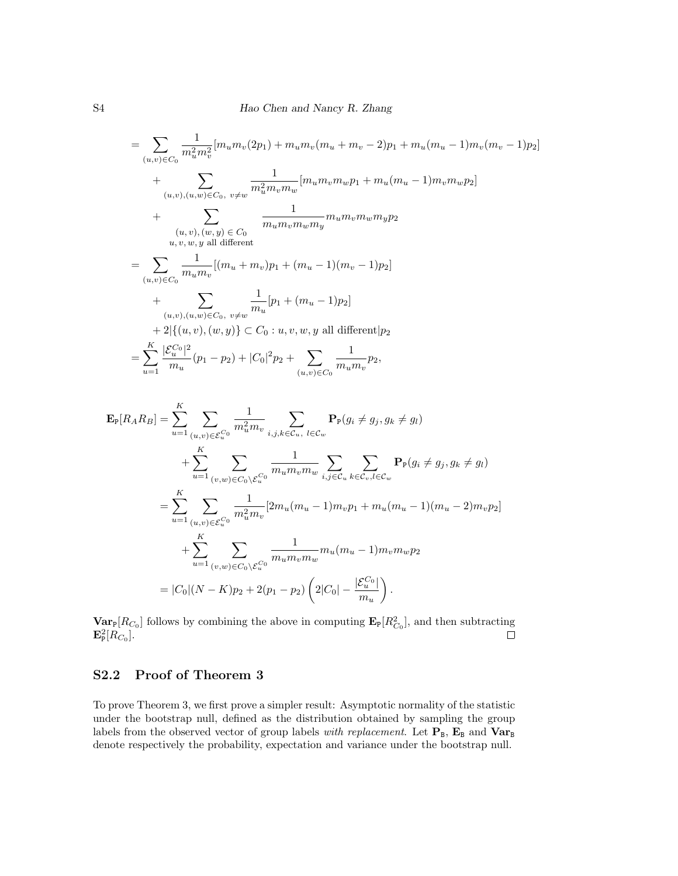$$
= \sum_{(u,v)\in C_0} \frac{1}{m_u^2 m_v^2} [m_u m_v (2p_1) + m_u m_v (m_u + m_v - 2)p_1 + m_u (m_u - 1) m_v (m_v - 1)p_2]
$$
  
+ 
$$
\sum_{(u,v),(u,w)\in C_0, v\neq w} \frac{1}{m_u^2 m_v m_w} [m_u m_v m_w p_1 + m_u (m_u - 1) m_v m_w p_2]
$$
  
+ 
$$
\sum_{(u,v),(u,w)\in C_0} \frac{1}{m_u m_v m_w m_w m_y} m_u m_v m_w m_y p_2
$$
  
= 
$$
\sum_{(u,v)\in C_0} \frac{1}{m_u m_v} [(m_u + m_v) p_1 + (m_u - 1) (m_v - 1) p_2]
$$
  
+ 
$$
\sum_{(u,v),(u,w)\in C_0, v\neq w} \frac{1}{m_u} [p_1 + (m_u - 1) p_2]
$$
  
+ 
$$
2 \left[ \{(u, v), (u, w) \} \right] \subset C_0 : u, v, w, y \text{ all different} | p_2
$$
  
= 
$$
\sum_{u=1}^K \frac{|\mathcal{E}_u^{C_0}|^2}{m_u} (p_1 - p_2) + |C_0|^2 p_2 + \sum_{(u,v)\in C_0} \frac{1}{m_u m_v} p_2,
$$

$$
\mathbf{E}_{\mathbf{P}}[R_{A}R_{B}] = \sum_{u=1}^{K} \sum_{(u,v) \in \mathcal{E}_{u}^{C_{0}}} \frac{1}{m_{u}^{2}m_{v}} \sum_{i,j,k \in \mathcal{C}_{u}} \mathbf{P}_{\mathbf{P}}(g_{i} \neq g_{j}, g_{k} \neq g_{l}) \n+ \sum_{u=1}^{K} \sum_{(v,w) \in C_{0} \setminus \mathcal{E}_{u}^{C_{0}}} \frac{1}{m_{u}m_{v}m_{w}} \sum_{i,j \in \mathcal{C}_{u}} \sum_{k \in \mathcal{C}_{v}, l \in \mathcal{C}_{w}} \mathbf{P}_{\mathbf{P}}(g_{i} \neq g_{j}, g_{k} \neq g_{l}) \n= \sum_{u=1}^{K} \sum_{(u,v) \in \mathcal{E}_{u}^{C_{0}}} \frac{1}{m_{u}^{2}m_{v}} [2m_{u}(m_{u}-1)m_{v}p_{1} + m_{u}(m_{u}-1)(m_{u}-2)m_{v}p_{2}] \n+ \sum_{u=1}^{K} \sum_{(v,w) \in C_{0} \setminus \mathcal{E}_{u}^{C_{0}}} \frac{1}{m_{u}m_{v}m_{w}} m_{u}(m_{u}-1)m_{v}m_{w}p_{2} \n= |C_{0}|(N-K)p_{2} + 2(p_{1}-p_{2}) \left( 2|C_{0}| - \frac{|\mathcal{E}_{u}^{C_{0}}|}{m_{u}} \right).
$$

 $\text{Var}_{\text{P}}[R_{C_0}]$  follows by combining the above in computing  $\text{E}_{\text{P}}[R_{C_0}^2]$ , and then subtracting  ${\bf E}_{\rm P}^2[R_{C_0}].$  $\Box$ 

#### S2.2 Proof of Theorem 3

To prove Theorem 3, we first prove a simpler result: Asymptotic normality of the statistic under the bootstrap null, defined as the distribution obtained by sampling the group labels from the observed vector of group labels with replacement. Let  $P_B$ ,  $E_B$  and  $Var_B$ denote respectively the probability, expectation and variance under the bootstrap null.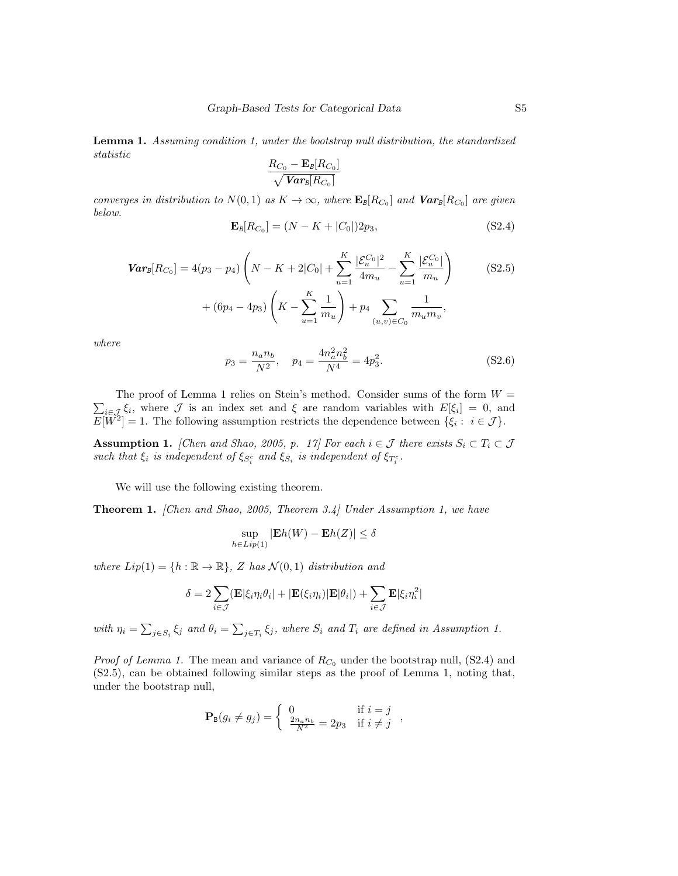Lemma 1. Assuming condition 1, under the bootstrap null distribution, the standardized statistic

$$
\frac{R_{C_0}-\mathbf{E}_B[R_{C_0}]}{\sqrt{\textit{Var}_B[R_{C_0}]}}
$$

converges in distribution to  $N(0,1)$  as  $K \to \infty$ , where  $\mathbf{E}_{B}[R_{C_0}]$  and  $Var_{B}[R_{C_0}]$  are given below.

$$
\mathbf{E}_B[R_{C_0}] = (N - K + |C_0|)2p_3,\tag{S2.4}
$$

$$
\mathbf{Var}_{B}[R_{C_{0}}] = 4(p_{3} - p_{4}) \left( N - K + 2|C_{0}| + \sum_{u=1}^{K} \frac{|\mathcal{E}_{u}^{C_{0}}|^{2}}{4m_{u}} - \sum_{u=1}^{K} \frac{|\mathcal{E}_{u}^{C_{0}}|}{m_{u}} \right) + (6p_{4} - 4p_{3}) \left( K - \sum_{u=1}^{K} \frac{1}{m_{u}} \right) + p_{4} \sum_{(u,v) \in C_{0}} \frac{1}{m_{u}m_{v}}, \tag{S2.5}
$$

where

$$
p_3 = \frac{n_a n_b}{N^2}, \quad p_4 = \frac{4n_a^2 n_b^2}{N^4} = 4p_3^2. \tag{S2.6}
$$

 $\sum_{i\in\mathcal{I}}\xi_i$ , where  $\mathcal I$  is an index set and  $\xi$  are random variables with  $E[\xi_i]=0$ , and The proof of Lemma 1 relies on Stein's method. Consider sums of the form  $W =$  $E[\widetilde{W}^2] = 1$ . The following assumption restricts the dependence between  $\{\xi_i : i \in \mathcal{J}\}.$ 

**Assumption 1.** [Chen and Shao, 2005, p. 17] For each  $i \in \mathcal{J}$  there exists  $S_i \subset T_i \subset \mathcal{J}$ such that  $\xi_i$  is independent of  $\xi_{S_i^c}$  and  $\xi_{S_i}$  is independent of  $\xi_{T_i^c}$ .

We will use the following existing theorem.

Theorem 1. [Chen and Shao, 2005, Theorem 3.4] Under Assumption 1, we have

$$
\sup_{h\in Lip(1)}|\mathbf{E} h(W)-\mathbf{E} h(Z)|\leq \delta
$$

where  $Lip(1) = \{h : \mathbb{R} \to \mathbb{R}\}, Z$  has  $\mathcal{N}(0, 1)$  distribution and

$$
\delta = 2\sum_{i\in\mathcal{J}} (\mathbf{E}|\xi_i \eta_i \theta_i| + |\mathbf{E}(\xi_i \eta_i)|\mathbf{E}|\theta_i|) + \sum_{i\in\mathcal{J}} \mathbf{E}|\xi_i \eta_i^2|
$$

with  $\eta_i = \sum_{j \in S_i} \xi_j$  and  $\theta_i = \sum_{j \in T_i} \xi_j$ , where  $S_i$  and  $T_i$  are defined in Assumption 1.

*Proof of Lemma 1.* The mean and variance of  $R_{C_0}$  under the bootstrap null, (S2.4) and (S2.5), can be obtained following similar steps as the proof of Lemma 1, noting that, under the bootstrap null,

$$
\mathbf{P}_{\mathbf{B}}(g_i \neq g_j) = \begin{cases} 0 & \text{if } i = j \\ \frac{2n_a n_b}{N^2} = 2p_3 & \text{if } i \neq j \end{cases}
$$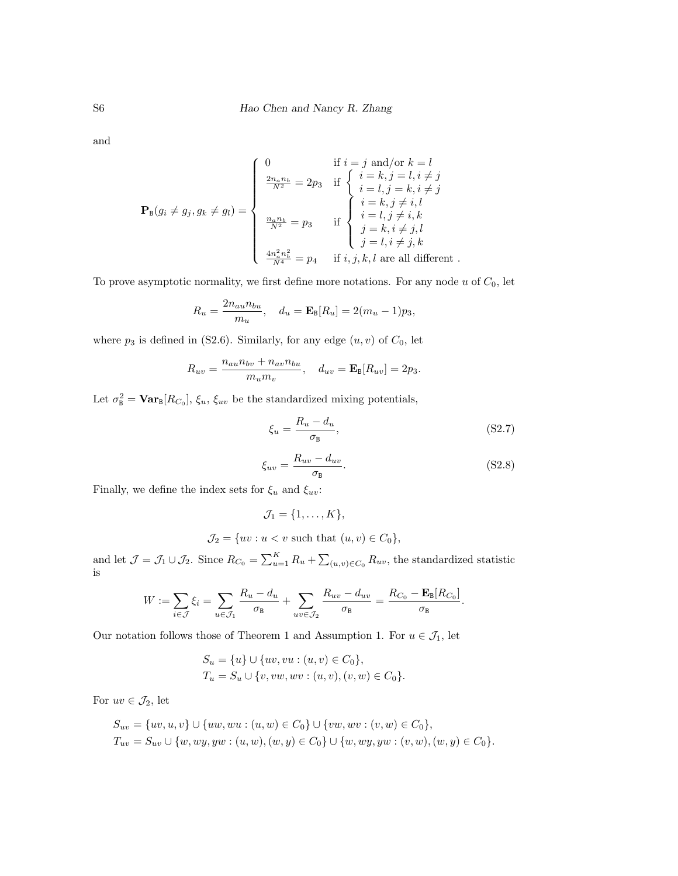and

$$
\mathbf{P}_{\mathbf{B}}(g_i \neq g_j, g_k \neq g_l) = \begin{cases} 0 & \text{if } i = j \text{ and/or } k = l \\ \frac{2n_a n_b}{N^2} = 2p_3 & \text{if } \begin{cases} i = k, j = l, i \neq j \\ i = l, j = k, i \neq j \end{cases} \\ \frac{n_a n_b}{N^2} = p_3 & \text{if } \begin{cases} i = k, j \neq i, l \\ i = l, j \neq i, k \\ j = k, i \neq j, l \\ j = l, i \neq j, k \end{cases} \\ \frac{4n_a^2 n_b^2}{N^4} = p_4 & \text{if } i, j, k, l \text{ are all different.} \end{cases}
$$

To prove asymptotic normality, we first define more notations. For any node  $u$  of  $C_0$ , let

$$
R_u=\frac{2n_{au}n_{bu}}{m_u},\quad d_u=\mathbf{E_B}[R_u]=2(m_u-1)p_3,
$$

where  $p_3$  is defined in (S2.6). Similarly, for any edge  $(u, v)$  of  $C_0$ , let

$$
R_{uv} = \frac{n_{au}n_{bv} + n_{av}n_{bu}}{m_u m_v}, \quad d_{uv} = \mathbf{E}_{\mathbf{B}}[R_{uv}] = 2p_3.
$$

Let  $\sigma_{\mathbf{B}}^2 = \mathbf{Var}_{\mathbf{B}}[R_{C_0}], \xi_u, \xi_{uv}$  be the standardized mixing potentials,

$$
\xi_u = \frac{R_u - d_u}{\sigma_B},\tag{S2.7}
$$

$$
\xi_{uv} = \frac{R_{uv} - d_{uv}}{\sigma_{\mathsf{B}}}.\tag{S2.8}
$$

Finally, we define the index sets for  $\xi_u$  and<br>  $\xi_{uv}\colon$ 

$$
\mathcal{J}_1 = \{1, \dots, K\},
$$
  

$$
\mathcal{J}_2 = \{uv : u < v \text{ such that } (u, v) \in C_0\},
$$

and let  $\mathcal{J} = \mathcal{J}_1 \cup \mathcal{J}_2$ . Since  $R_{C_0} = \sum_{u=1}^K R_u + \sum_{(u,v) \in C_0} R_{uv}$ , the standardized statistic is

$$
W := \sum_{i \in \mathcal{J}} \xi_i = \sum_{u \in \mathcal{J}_1} \frac{R_u - d_u}{\sigma_{\mathsf{B}}} + \sum_{uv \in \mathcal{J}_2} \frac{R_{uv} - d_{uv}}{\sigma_{\mathsf{B}}} = \frac{R_{C_0} - \mathbf{E}_{\mathsf{B}}[R_{C_0}]}{\sigma_{\mathsf{B}}}.
$$

Our notation follows those of Theorem 1 and Assumption 1. For  $u\in\mathcal{J}_1,$  let

$$
S_u = \{u\} \cup \{uv, vu : (u, v) \in C_0\},\,
$$
  

$$
T_u = S_u \cup \{v, vw, wv : (u, v), (v, w) \in C_0\}.
$$

For  $uv \in \mathcal{J}_2$ , let

$$
S_{uv} = \{uv, u, v\} \cup \{uw, wu : (u, w) \in C_0\} \cup \{vw, wv : (v, w) \in C_0\},
$$
  
\n
$$
T_{uv} = S_{uv} \cup \{w, wy, yw : (u, w), (w, y) \in C_0\} \cup \{w, wy, yw : (v, w), (w, y) \in C_0\}.
$$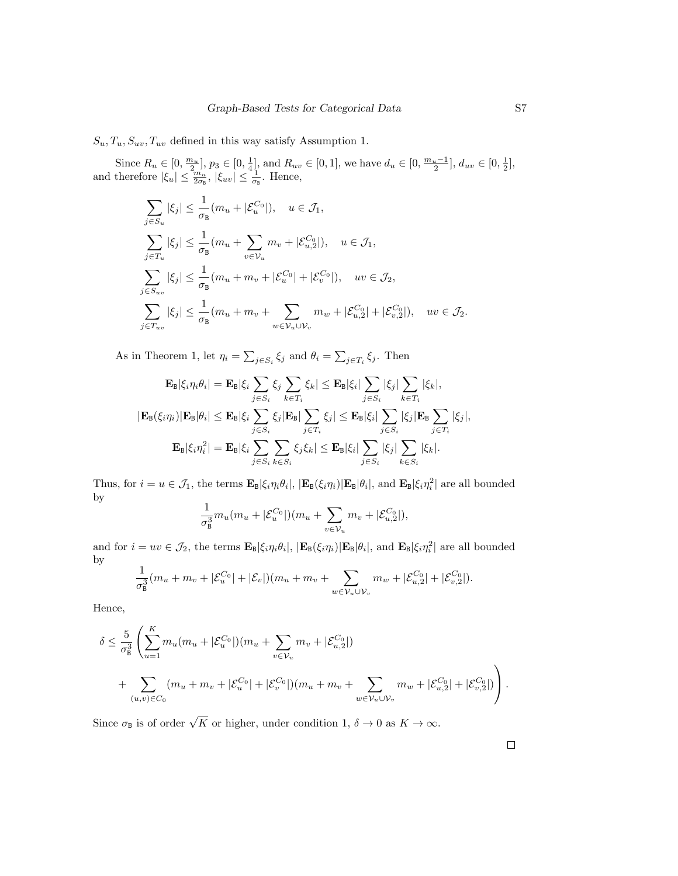$S_u, T_u, S_{uv}, T_{uv}$  defined in this way satisfy Assumption 1.

Since  $R_u \in [0, \frac{m_u}{2}], p_3 \in [0, \frac{1}{4}],$  and  $R_{uv} \in [0, 1]$ , we have  $d_u \in [0, \frac{m_u - 1}{2}], d_{uv} \in [0, \frac{1}{2}],$ and therefore  $|\xi_u| \leq \frac{m_u}{2\sigma_{\rm B}}, |\xi_{uv}| \leq \frac{1}{\sigma_{\rm B}}.$  Hence,

$$
\sum_{j \in S_u} |\xi_j| \leq \frac{1}{\sigma_{\mathbf{B}}} (m_u + |\mathcal{E}_u^{C_0}|), \quad u \in \mathcal{J}_1,
$$
\n
$$
\sum_{j \in T_u} |\xi_j| \leq \frac{1}{\sigma_{\mathbf{B}}} (m_u + \sum_{v \in \mathcal{V}_u} m_v + |\mathcal{E}_{u,2}^{C_0}|), \quad u \in \mathcal{J}_1,
$$
\n
$$
\sum_{j \in S_{uv}} |\xi_j| \leq \frac{1}{\sigma_{\mathbf{B}}} (m_u + m_v + |\mathcal{E}_u^{C_0}| + |\mathcal{E}_v^{C_0}|), \quad uv \in \mathcal{J}_2,
$$
\n
$$
\sum_{j \in T_{uv}} |\xi_j| \leq \frac{1}{\sigma_{\mathbf{B}}} (m_u + m_v + \sum_{w \in \mathcal{V}_u \cup \mathcal{V}_v} m_w + |\mathcal{E}_{u,2}^{C_0}| + |\mathcal{E}_{v,2}^{C_0}|), \quad uv \in \mathcal{J}_2.
$$

As in Theorem 1, let  $\eta_i = \sum_{j \in S_i} \xi_j$  and  $\theta_i = \sum_{j \in T_i} \xi_j$ . Then

$$
\mathbf{E}_{\mathrm{B}}|\xi_{i}\eta_{i}\theta_{i}| = \mathbf{E}_{\mathrm{B}}|\xi_{i}\sum_{j\in S_{i}}\xi_{j}\sum_{k\in T_{i}}\xi_{k}| \leq \mathbf{E}_{\mathrm{B}}|\xi_{i}|\sum_{j\in S_{i}}|\xi_{j}|\sum_{k\in T_{i}}|\xi_{k}|,
$$
\n
$$
|\mathbf{E}_{\mathrm{B}}(\xi_{i}\eta_{i})|\mathbf{E}_{\mathrm{B}}|\theta_{i}| \leq \mathbf{E}_{\mathrm{B}}|\xi_{i}\sum_{j\in S_{i}}\xi_{j}|\mathbf{E}_{\mathrm{B}}|\sum_{j\in T_{i}}\xi_{j}| \leq \mathbf{E}_{\mathrm{B}}|\xi_{i}|\sum_{j\in S_{i}}|\xi_{j}|\mathbf{E}_{\mathrm{B}}\sum_{j\in T_{i}}|\xi_{j}|,
$$
\n
$$
\mathbf{E}_{\mathrm{B}}|\xi_{i}\eta_{i}^{2}| = \mathbf{E}_{\mathrm{B}}|\xi_{i}\sum_{j\in S_{i}}\sum_{k\in S_{i}}\xi_{j}\xi_{k}| \leq \mathbf{E}_{\mathrm{B}}|\xi_{i}|\sum_{j\in S_{i}}|\xi_{j}|\sum_{k\in S_{i}}|\xi_{k}|.
$$

Thus, for  $i = u \in \mathcal{J}_1$ , the terms  $\mathbf{E}_{\mathbf{B}}[\xi_i \eta_i \theta_i], |\mathbf{E}_{\mathbf{B}}(\xi_i \eta_i)| \mathbf{E}_{\mathbf{B}}[\theta_i],$  and  $\mathbf{E}_{\mathbf{B}}[\xi_i \eta_i^2]$  are all bounded by

$$
\frac{1}{\sigma_{\rm B}^3} m_u (m_u + |\mathcal{E}_u^{C_0}|)(m_u + \sum_{v \in \mathcal{V}_u} m_v + |\mathcal{E}_{u,2}^{C_0}|),
$$

and for  $i = uv \in \mathcal{J}_2$ , the terms  $\mathbf{E}_{\mathbf{B}}[\xi_i \eta_i \theta_i], |\mathbf{E}_{\mathbf{B}}(\xi_i \eta_i)| \mathbf{E}_{\mathbf{B}}[\theta_i],$  and  $\mathbf{E}_{\mathbf{B}}[\xi_i \eta_i^2]$  are all bounded by

$$
\frac{1}{\sigma_{\rm B}^3}(m_u + m_v + |\mathcal{E}_u^{C_0}| + |\mathcal{E}_v|)(m_u + m_v + \sum_{w \in \mathcal{V}_u \cup \mathcal{V}_v} m_w + |\mathcal{E}_{u,2}^{C_0}| + |\mathcal{E}_{v,2}^{C_0}|).
$$

Hence,

$$
\delta \leq \frac{5}{\sigma_{\text{B}}^3} \left( \sum_{u=1}^K m_u (m_u + |\mathcal{E}_u^{C_0}|) (m_u + \sum_{v \in \mathcal{V}_u} m_v + |\mathcal{E}_{u,2}^{C_0}|) + \sum_{(u,v) \in C_0} (m_u + m_v + |\mathcal{E}_u^{C_0}| + |\mathcal{E}_v^{C_0}|) (m_u + m_v + \sum_{w \in \mathcal{V}_u \cup \mathcal{V}_v} m_w + |\mathcal{E}_{u,2}^{C_0}| + |\mathcal{E}_{v,2}^{C_0}|) \right).
$$

Since  $\sigma_{\text{B}}$  is of order  $\sqrt{K}$  or higher, under condition 1,  $\delta \to 0$  as  $K \to \infty$ .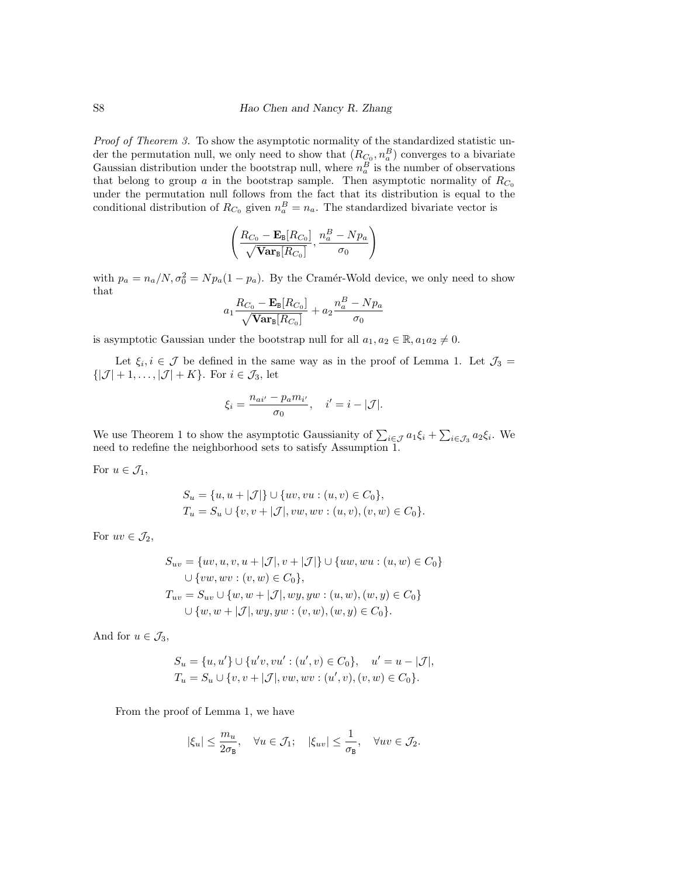Proof of Theorem 3. To show the asymptotic normality of the standardized statistic under the permutation null, we only need to show that  $(R_{\mathcal{C}_0}, n_a^B)$  converges to a bivariate Gaussian distribution under the bootstrap null, where  $n_a^B$  is the number of observations that belong to group a in the bootstrap sample. Then asymptotic normality of  $R_{C_0}$ under the permutation null follows from the fact that its distribution is equal to the conditional distribution of  $R_{C_0}$  given  $n_a^B = n_a$ . The standardized bivariate vector is

$$
\left(\frac{R_{C_0} - \mathbf{E}_{\mathbf{B}}[R_{C_0}]}{\sqrt{\mathbf{Var}_{\mathbf{B}}[R_{C_0}]}}, \frac{n_a^B - Np_a}{\sigma_0}\right)
$$

with  $p_a = n_a/N$ ,  $\sigma_0^2 = N p_a (1 - p_a)$ . By the Cramér-Wold device, we only need to show that

$$
a_1\frac{R_{C_0}-\mathbf{E}_{\text{B}}[R_{C_0}]}{\sqrt{\text{Var}_{\text{B}}[R_{C_0}]}}+a_2\frac{n_a^B-Np_a}{\sigma_0}
$$

is asymptotic Gaussian under the bootstrap null for all  $a_1, a_2 \in \mathbb{R}, a_1 a_2 \neq 0$ .

Let  $\xi_i, i \in \mathcal{J}$  be defined in the same way as in the proof of Lemma 1. Let  $\mathcal{J}_3$  =  $\{|\mathcal{J}| + 1, \ldots, |\mathcal{J}| + K\}$ . For  $i \in \mathcal{J}_3$ , let

$$
\xi_i = \frac{n_{ai'} - p_a m_{i'}}{\sigma_0}, \quad i' = i - |\mathcal{J}|.
$$

We use Theorem 1 to show the asymptotic Gaussianity of  $\sum_{i\in\mathcal{J}}a_1\xi_i + \sum_{i\in\mathcal{J}_3}a_2\xi_i$ . We need to redefine the neighborhood sets to satisfy Assumption 1.

For  $u \in \mathcal{J}_1$ ,

$$
S_u = \{u, u + |\mathcal{J}|\} \cup \{uv, vu : (u, v) \in C_0\},\
$$
  

$$
T_u = S_u \cup \{v, v + |\mathcal{J}|, vw, uv : (u, v), (v, w) \in C_0\}.
$$

For  $uv \in \mathcal{J}_2$ ,

$$
S_{uv} = \{uv, u, v, u + |\mathcal{J}|, v + |\mathcal{J}|\} \cup \{uw, wu : (u, w) \in C_0\}
$$
  

$$
\cup \{vw, wv : (v, w) \in C_0\},
$$
  

$$
T_{uv} = S_{uv} \cup \{w, w + |\mathcal{J}|, wy, yw : (u, w), (w, y) \in C_0\}
$$
  

$$
\cup \{w, w + |\mathcal{J}|, wy, yw : (v, w), (w, y) \in C_0\}.
$$

And for  $u \in \mathcal{J}_3$ ,

$$
S_u = \{u, u'\} \cup \{u'v, vu': (u', v) \in C_0\}, \quad u' = u - |\mathcal{J}|,
$$
  

$$
T_u = S_u \cup \{v, v + |\mathcal{J}|, vw, wv: (u', v), (v, w) \in C_0\}.
$$

From the proof of Lemma 1, we have

$$
|\xi_u| \le \frac{m_u}{2\sigma_B}
$$
,  $\forall u \in \mathcal{J}_1$ ;  $|\xi_{uv}| \le \frac{1}{\sigma_B}$ ,  $\forall uv \in \mathcal{J}_2$ .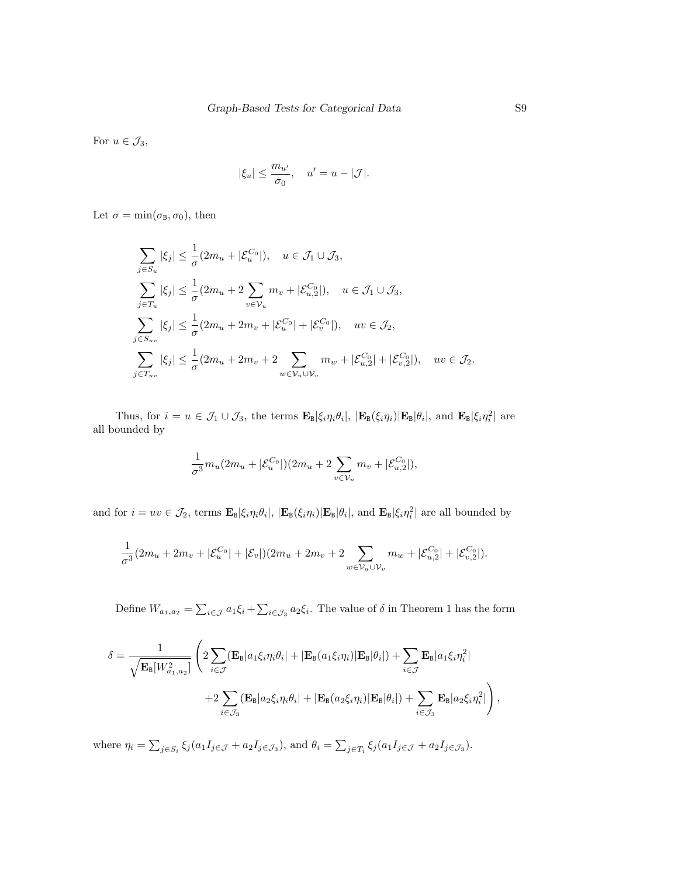For  $u \in \mathcal{J}_3$ ,

$$
|\xi_u| \le \frac{m_{u'}}{\sigma_0}, \quad u' = u - |\mathcal{J}|.
$$

Let  $\sigma = \min(\sigma_{\mathbf{B}}, \sigma_0)$ , then

$$
\sum_{j \in S_u} |\xi_j| \leq \frac{1}{\sigma} (2m_u + |\mathcal{E}_u^{C_0}|), \quad u \in \mathcal{J}_1 \cup \mathcal{J}_3,
$$
\n
$$
\sum_{j \in T_u} |\xi_j| \leq \frac{1}{\sigma} (2m_u + 2 \sum_{v \in \mathcal{V}_u} m_v + |\mathcal{E}_{u,2}^{C_0}|), \quad u \in \mathcal{J}_1 \cup \mathcal{J}_3,
$$
\n
$$
\sum_{j \in S_{uv}} |\xi_j| \leq \frac{1}{\sigma} (2m_u + 2m_v + |\mathcal{E}_u^{C_0}| + |\mathcal{E}_v^{C_0}|), \quad uv \in \mathcal{J}_2,
$$
\n
$$
\sum_{j \in T_{uv}} |\xi_j| \leq \frac{1}{\sigma} (2m_u + 2m_v + 2 \sum_{w \in \mathcal{V}_u \cup \mathcal{V}_v} m_w + |\mathcal{E}_{u,2}^{C_0}| + |\mathcal{E}_{v,2}^{C_0}|), \quad uv \in \mathcal{J}_2.
$$

Thus, for  $i = u \in \mathcal{J}_1 \cup \mathcal{J}_3$ , the terms  $\mathbf{E}_{\mathbf{B}}|\xi_i\eta_i\theta_i|$ ,  $|\mathbf{E}_{\mathbf{B}}(\xi_i\eta_i)|\mathbf{E}_{\mathbf{B}}|\theta_i|$ , and  $\mathbf{E}_{\mathbf{B}}|\xi_i\eta_i^2|$  are all bounded by

$$
\frac{1}{\sigma^3} m_u (2m_u + |\mathcal{E}_u^{C_0}|) (2m_u + 2 \sum_{v \in \mathcal{V}_u} m_v + |\mathcal{E}_{u,2}^{C_0}|),
$$

and for  $i = uv \in \mathcal{J}_2$ , terms  $\mathbf{E}_{\mathbf{B}}[\xi_i \eta_i \theta_i], |\mathbf{E}_{\mathbf{B}}(\xi_i \eta_i)| \mathbf{E}_{\mathbf{B}}[\theta_i],$  and  $\mathbf{E}_{\mathbf{B}}[\xi_i \eta_i^2]$  are all bounded by

$$
\frac{1}{\sigma^3}(2m_u + 2m_v + |\mathcal{E}_u^{C_0}| + |\mathcal{E}_v|)(2m_u + 2m_v + 2\sum_{w \in \mathcal{V}_u \cup \mathcal{V}_v} m_w + |\mathcal{E}_{u,2}^{C_0}| + |\mathcal{E}_{v,2}^{C_0}|).
$$

Define  $W_{a_1,a_2} = \sum_{i \in \mathcal{J}} a_1 \xi_i + \sum_{i \in \mathcal{J}_3} a_2 \xi_i$ . The value of  $\delta$  in Theorem 1 has the form

$$
\delta = \frac{1}{\sqrt{\mathbf{E}_{\mathbf{B}}[W_{a_1,a_2}^2]}} \left( 2 \sum_{i \in \mathcal{J}} (\mathbf{E}_{\mathbf{B}}|a_1 \xi_i \eta_i \theta_i| + |\mathbf{E}_{\mathbf{B}}(a_1 \xi_i \eta_i)| \mathbf{E}_{\mathbf{B}}|\theta_i|) + \sum_{i \in \mathcal{J}} \mathbf{E}_{\mathbf{B}}|a_1 \xi_i \eta_i^2| + 2 \sum_{i \in \mathcal{J}_3} (\mathbf{E}_{\mathbf{B}}|a_2 \xi_i \eta_i \theta_i| + |\mathbf{E}_{\mathbf{B}}(a_2 \xi_i \eta_i)| \mathbf{E}_{\mathbf{B}}|\theta_i|) + \sum_{i \in \mathcal{J}_3} \mathbf{E}_{\mathbf{B}}|a_2 \xi_i \eta_i^2| \right),
$$

where  $\eta_i = \sum_{j \in S_i} \xi_j (a_1 I_{j \in \mathcal{J}} + a_2 I_{j \in \mathcal{J}_3})$ , and  $\theta_i = \sum_{j \in T_i} \xi_j (a_1 I_{j \in \mathcal{J}} + a_2 I_{j \in \mathcal{J}_3})$ .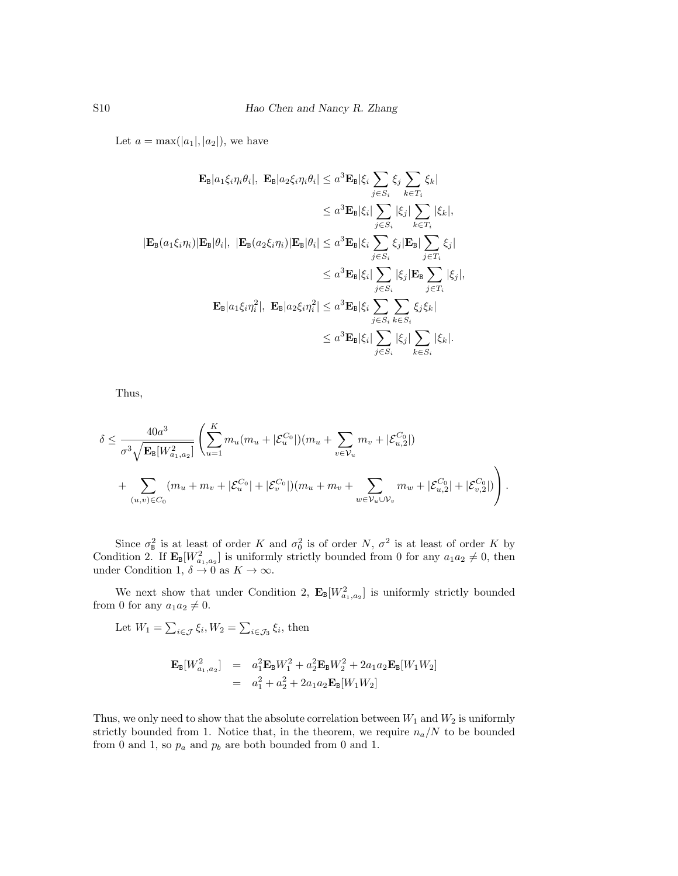Let  $a = \max(|a_1|, |a_2|)$ , we have

$$
\mathbf{E}_{\mathbf{B}}|a_{1}\xi_{i}\eta_{i}\theta_{i}|, \ \mathbf{E}_{\mathbf{B}}|a_{2}\xi_{i}\eta_{i}\theta_{i}| \leq a^{3}\mathbf{E}_{\mathbf{B}}|\xi_{i}\sum_{j\in S_{i}}\xi_{j}\sum_{k\in T_{i}}\xi_{k}|
$$
\n
$$
\leq a^{3}\mathbf{E}_{\mathbf{B}}|\xi_{i}|\sum_{j\in S_{i}}|\xi_{j}|\sum_{k\in T_{i}}|\xi_{k}|,
$$
\n
$$
|\mathbf{E}_{\mathbf{B}}(a_{1}\xi_{i}\eta_{i})|\mathbf{E}_{\mathbf{B}}|\theta_{i}|, \ |\mathbf{E}_{\mathbf{B}}(a_{2}\xi_{i}\eta_{i})|\mathbf{E}_{\mathbf{B}}|\theta_{i}| \leq a^{3}\mathbf{E}_{\mathbf{B}}|\xi_{i}\sum_{j\in S_{i}}\xi_{j}|\mathbf{E}_{\mathbf{B}}|\sum_{j\in T_{i}}\xi_{j}|
$$
\n
$$
\leq a^{3}\mathbf{E}_{\mathbf{B}}|\xi_{i}|\sum_{j\in S_{i}}|\xi_{j}|\mathbf{E}_{\mathbf{B}}\sum_{j\in T_{i}}|\xi_{j}|,
$$
\n
$$
\mathbf{E}_{\mathbf{B}}|a_{1}\xi_{i}\eta_{i}^{2}|, \ \mathbf{E}_{\mathbf{B}}|a_{2}\xi_{i}\eta_{i}^{2}| \leq a^{3}\mathbf{E}_{\mathbf{B}}|\xi_{i}\sum_{j\in S_{i}}\sum_{k\in S_{i}}\xi_{j}\xi_{k}|
$$
\n
$$
\leq a^{3}\mathbf{E}_{\mathbf{B}}|\xi_{i}|\sum_{j\in S_{i}}|\xi_{j}|\sum_{k\in S_{i}}|\xi_{k}|.
$$

Thus,

$$
\delta \leq \frac{40a^3}{\sigma^3 \sqrt{\mathbf{E}_{\mathbf{B}}[W_{a_1, a_2}^2]}} \left( \sum_{u=1}^K m_u (m_u + |\mathcal{E}_u^{C_0}|) (m_u + \sum_{v \in \mathcal{V}_u} m_v + |\mathcal{E}_{u, 2}^{C_0}|) + \sum_{(u, v) \in C_0} (m_u + m_v + |\mathcal{E}_u^{C_0}| + |\mathcal{E}_v^{C_0}|) (m_u + m_v + \sum_{w \in \mathcal{V}_u \cup \mathcal{V}_v} m_w + |\mathcal{E}_{u, 2}^{C_0}| + |\mathcal{E}_{v, 2}^{C_0}|) \right).
$$

Since  $\sigma_{\rm B}^2$  is at least of order K and  $\sigma_0^2$  is of order N,  $\sigma^2$  is at least of order K by Condition 2. If  $\mathbf{E}_{\text{B}}[W_{a_1,a_2}^2]$  is uniformly strictly bounded from 0 for any  $a_1a_2 \neq 0$ , then under Condition 1,  $\delta \to 0$  as  $K \to \infty$ .

We next show that under Condition 2,  $\mathbf{E}_{\mathbf{B}}[W_{a_1,a_2}^2]$  is uniformly strictly bounded from 0 for any  $a_1a_2 \neq 0$ .

Let  $W_1 = \sum_{i \in \mathcal{J}} \xi_i, W_2 = \sum_{i \in \mathcal{J}_3} \xi_i$ , then

$$
\mathbf{E}_{\mathbf{B}}[W_{a_1,a_2}^2] = a_1^2 \mathbf{E}_{\mathbf{B}} W_1^2 + a_2^2 \mathbf{E}_{\mathbf{B}} W_2^2 + 2a_1 a_2 \mathbf{E}_{\mathbf{B}}[W_1 W_2]
$$
  
=  $a_1^2 + a_2^2 + 2a_1 a_2 \mathbf{E}_{\mathbf{B}}[W_1 W_2]$ 

Thus, we only need to show that the absolute correlation between  $W_1$  and  $W_2$  is uniformly strictly bounded from 1. Notice that, in the theorem, we require  $n_a/N$  to be bounded from 0 and 1, so  $p_a$  and  $p_b$  are both bounded from 0 and 1.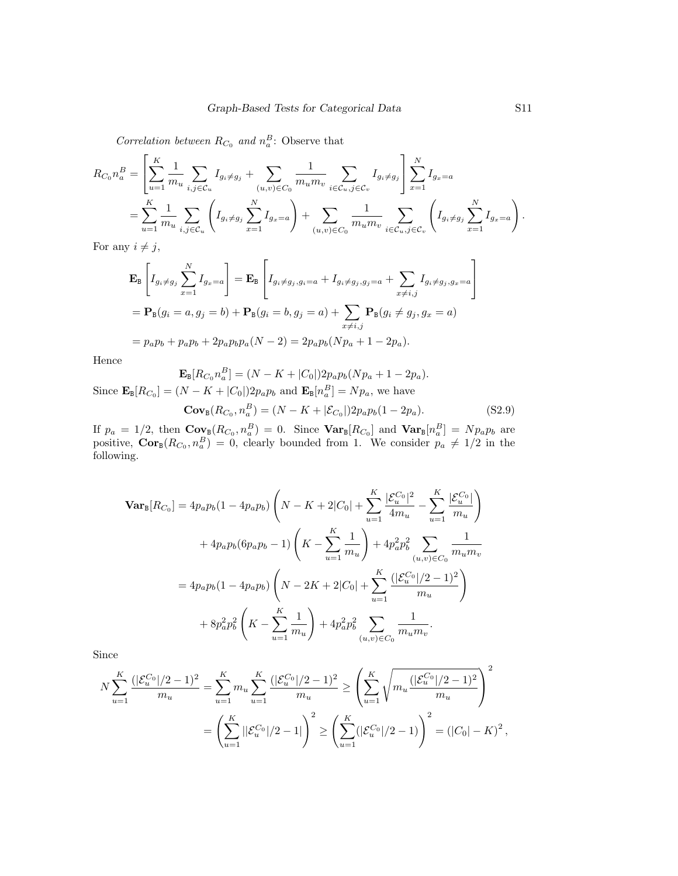Correlation between  $R_{C_0}$  and  $n_a^B$ : Observe that

$$
R_{C_0} n_a^B = \left[ \sum_{u=1}^K \frac{1}{m_u} \sum_{i,j \in C_u} I_{g_i \neq g_j} + \sum_{(u,v) \in C_0} \frac{1}{m_u m_v} \sum_{i \in C_u, j \in C_v} I_{g_i \neq g_j} \right] \sum_{x=1}^N I_{g_x=a}
$$
  
= 
$$
\sum_{u=1}^K \frac{1}{m_u} \sum_{i,j \in C_u} \left( I_{g_i \neq g_j} \sum_{x=1}^N I_{g_x=a} \right) + \sum_{(u,v) \in C_0} \frac{1}{m_u m_v} \sum_{i \in C_u, j \in C_v} \left( I_{g_i \neq g_j} \sum_{x=1}^N I_{g_x=a} \right).
$$

For any  $i\neq j,$ 

$$
\mathbf{E}_{\mathbf{B}}\left[I_{g_i\neq g_j}\sum_{x=1}^{N}I_{g_x=a}\right] = \mathbf{E}_{\mathbf{B}}\left[I_{g_i\neq g_j,g_i=a} + I_{g_i\neq g_j,g_j=a} + \sum_{x\neq i,j}I_{g_i\neq g_j,g_x=a}\right]
$$
  
=  $\mathbf{P}_{\mathbf{B}}(g_i = a, g_j = b) + \mathbf{P}_{\mathbf{B}}(g_i = b, g_j = a) + \sum_{x\neq i,j}\mathbf{P}_{\mathbf{B}}(g_i \neq g_j, g_x = a)$   
=  $p_ap_b + p_ap_b + 2p_ap_bp_a(N-2) = 2p_ap_b(Np_a + 1 - 2p_a).$ 

Hence

$$
\mathbf{E}_{\mathbf{B}}[R_{C_0}n_a^B] = (N - K + |C_0|)2p_ap_b(Np_a + 1 - 2p_a).
$$
  
Since 
$$
\mathbf{E}_{\mathbf{B}}[R_{C_0}] = (N - K + |C_0|)2p_ap_b
$$
 and 
$$
\mathbf{E}_{\mathbf{B}}[n_a^B] = Np_a
$$
, we have

$$
\mathbf{Cov}_{\mathbf{B}}(R_{C_0}, n_a^B) = (N - K + |\mathcal{E}_{C_0}|)2p_a p_b (1 - 2p_a). \tag{S2.9}
$$

If  $p_a = 1/2$ , then  $\text{Cov}_B(R_{C_0}, n_a^B) = 0$ . Since  $\text{Var}_B[R_{C_0}]$  and  $\text{Var}_B[n_a^B] = N p_a p_b$  are positive,  $Cor_{\mathbb{B}}(R_{C_0}, n_a^B) = 0$ , clearly bounded from 1. We consider  $p_a \neq 1/2$  in the following.

$$
\begin{split} \mathbf{Var}_{\mathbf{B}}[R_{C_{0}}] &= 4p_{a}p_{b}(1-4p_{a}p_{b})\left(N-K+2|C_{0}|+\sum_{u=1}^{K}\frac{|\mathcal{E}_{u}^{C_{0}}|^{2}}{4m_{u}}-\sum_{u=1}^{K}\frac{|\mathcal{E}_{u}^{C_{0}}|}{m_{u}}\right) \\ &+4p_{a}p_{b}(6p_{a}p_{b}-1)\left(K-\sum_{u=1}^{K}\frac{1}{m_{u}}\right)+4p_{a}^{2}p_{b}^{2}\sum_{(u,v)\in C_{0}}\frac{1}{m_{u}m_{v}} \\ &=4p_{a}p_{b}(1-4p_{a}p_{b})\left(N-2K+2|C_{0}|+\sum_{u=1}^{K}\frac{(|\mathcal{E}_{u}^{C_{0}}|/2-1)^{2}}{m_{u}}\right) \\ &+8p_{a}^{2}p_{b}^{2}\left(K-\sum_{u=1}^{K}\frac{1}{m_{u}}\right)+4p_{a}^{2}p_{b}^{2}\sum_{(u,v)\in C_{0}}\frac{1}{m_{u}m_{v}}. \end{split}
$$

Since

$$
N\sum_{u=1}^{K} \frac{(|\mathcal{E}_{u}^{C_0}|/2-1)^2}{m_u} = \sum_{u=1}^{K} m_u \sum_{u=1}^{K} \frac{(|\mathcal{E}_{u}^{C_0}|/2-1)^2}{m_u} \ge \left(\sum_{u=1}^{K} \sqrt{m_u \frac{(|\mathcal{E}_{u}^{C_0}|/2-1)^2}{m_u}}\right)^2
$$

$$
= \left(\sum_{u=1}^{K} ||\mathcal{E}_{u}^{C_0}|/2-1||\right)^2 \ge \left(\sum_{u=1}^{K} (|\mathcal{E}_{u}^{C_0}|/2-1)\right)^2 = (|C_0| - K)^2,
$$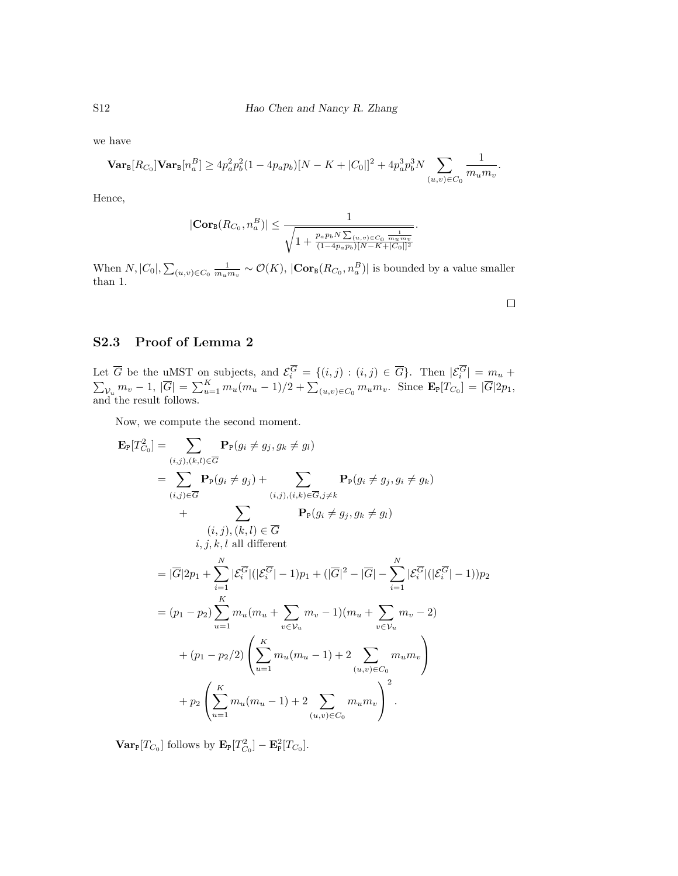we have

$$
\mathbf{Var}_{\mathbf{B}}[R_{C_0}]\mathbf{Var}_{\mathbf{B}}[n_a^B] \ge 4p_a^2p_b^2(1 - 4p_ap_b)[N - K + |C_0|]^2 + 4p_a^3p_b^3N \sum_{(u,v) \in C_0} \frac{1}{m_u m_v}.
$$

Hence,

$$
|\mathbf{Cor}_\mathbf{B}(R_{C_0}, n_a^B)| \le \frac{1}{\sqrt{1 + \frac{p_a p_b N \sum_{(u,v) \in C_0} \frac{1}{m_u m_v}}{(1 - 4p_a p_b)[N - K + |C_0|]^2}}}.
$$

When  $N, |C_0|, \sum_{(u,v)\in C_0} \frac{1}{m_u m_v} \sim \mathcal{O}(K)$ ,  $|\text{Cor}_{\text{B}}(R_{C_0}, n_a^B)|$  is bounded by a value smaller than 1.

#### S2.3 Proof of Lemma 2

Let  $\overline{G}$  be the uMST on subjects, and  $\mathcal{E}_{i}^{G} = \{(i,j) : (i,j) \in \overline{G}\}\.$  Then  $|\mathcal{E}_{i}^{G}| = m_{u} +$  $\sum_{v_u} m_v - 1$ ,  $|\overline{G}| = \sum_{u=1}^K m_u (m_u - 1)/2 + \sum_{(u,v) \in C_0} m_u m_v$ . Since  $\mathbf{E}_{\mathbb{P}}[T_{C_0}] = |\overline{G}| 2p_1$ , and the result follows.

Now, we compute the second moment.

$$
\mathbf{E}_{\mathbf{P}}[T_{C_{0}}^{2}] = \sum_{(i,j),(k,l) \in \overline{G}} \mathbf{P}_{\mathbf{P}}(g_{i} \neq g_{j}, g_{k} \neq g_{l})
$$
\n
$$
= \sum_{(i,j),(k,l) \in \overline{G}} \mathbf{P}_{\mathbf{P}}(g_{i} \neq g_{j}) + \sum_{(i,j),(i,k) \in \overline{G}, j \neq k} \mathbf{P}_{\mathbf{P}}(g_{i} \neq g_{j}, g_{i} \neq g_{k})
$$
\n
$$
+ \sum_{(i,j),(k,l) \in \overline{G}} \mathbf{P}_{\mathbf{P}}(g_{i} \neq g_{j}, g_{k} \neq g_{l})
$$
\n
$$
= |\overline{G}|2p_{1} + \sum_{i=1}^{N} |\mathcal{E}_{i}^{\overline{G}}|(|\mathcal{E}_{i}^{\overline{G}}| - 1)p_{1} + (|\overline{G}|^{2} - |\overline{G}| - \sum_{i=1}^{N} |\mathcal{E}_{i}^{\overline{G}}|(|\mathcal{E}_{i}^{\overline{G}}| - 1))p_{2}
$$
\n
$$
= (p_{1} - p_{2}) \sum_{u=1}^{K} m_{u}(m_{u} + \sum_{v \in \mathcal{V}_{u}} m_{v} - 1)(m_{u} + \sum_{v \in \mathcal{V}_{u}} m_{v} - 2)
$$
\n
$$
+ (p_{1} - p_{2}/2) \left( \sum_{u=1}^{K} m_{u}(m_{u} - 1) + 2 \sum_{(u,v) \in C_{0}} m_{u} m_{v} \right)
$$
\n
$$
+ p_{2} \left( \sum_{u=1}^{K} m_{u}(m_{u} - 1) + 2 \sum_{(u,v) \in C_{0}} m_{u} m_{v} \right)^{2}.
$$

 $\textbf{Var}_{\text{P}}[T_{C_0}]$  follows by  $\textbf{E}_{\text{P}}[T_{C_0}^2] - \textbf{E}_{\text{P}}^2[T_{C_0}].$ 

 $\Box$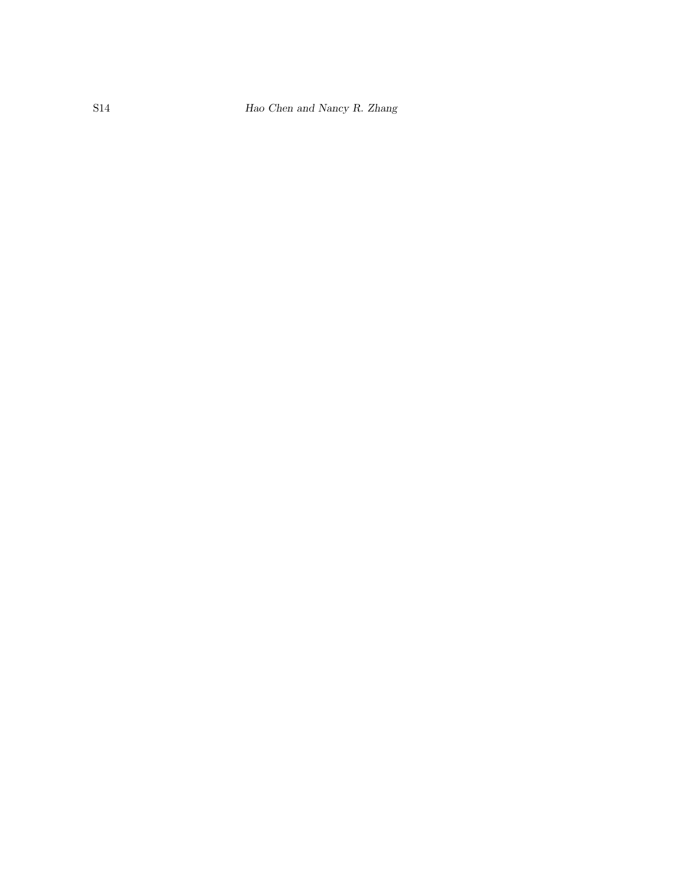S14 Hao Chen and Nancy R. Zhang